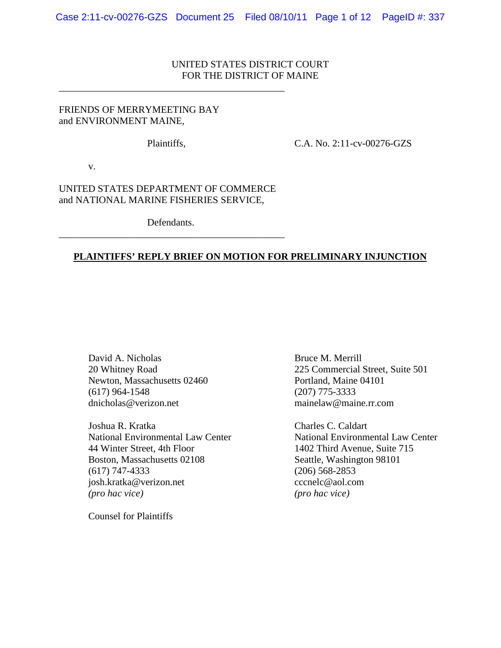# UNITED STATES DISTRICT COURT FOR THE DISTRICT OF MAINE

### FRIENDS OF MERRYMEETING BAY and ENVIRONMENT MAINE,

\_\_\_\_\_\_\_\_\_\_\_\_\_\_\_\_\_\_\_\_\_\_\_\_\_\_\_\_\_\_\_\_\_\_\_\_\_\_\_\_\_\_\_\_\_\_

Plaintiffs, C.A. No. 2:11-cv-00276-GZS

v.

UNITED STATES DEPARTMENT OF COMMERCE and NATIONAL MARINE FISHERIES SERVICE,

Defendants. \_\_\_\_\_\_\_\_\_\_\_\_\_\_\_\_\_\_\_\_\_\_\_\_\_\_\_\_\_\_\_\_\_\_\_\_\_\_\_\_\_\_\_\_\_\_

## **PLAINTIFFS' REPLY BRIEF ON MOTION FOR PRELIMINARY INJUNCTION**

David A. Nicholas Bruce M. Merrill Newton, Massachusetts 02460 Portland, Maine 04101 (617) 964-1548 (207) 775-3333 dnicholas@verizon.net mainelaw@maine.rr.com

Joshua R. Kratka Charles C. Caldart 44 Winter Street, 4th Floor 1402 Third Avenue, Suite 715 Boston, Massachusetts 02108 Seattle, Washington 98101 (617) 747-4333 (206) 568-2853 josh.kratka@verizon.net cccnelc@aol.com *(pro hac vice) (pro hac vice)*

Counsel for Plaintiffs

20 Whitney Road 225 Commercial Street, Suite 501

National Environmental Law Center National Environmental Law Center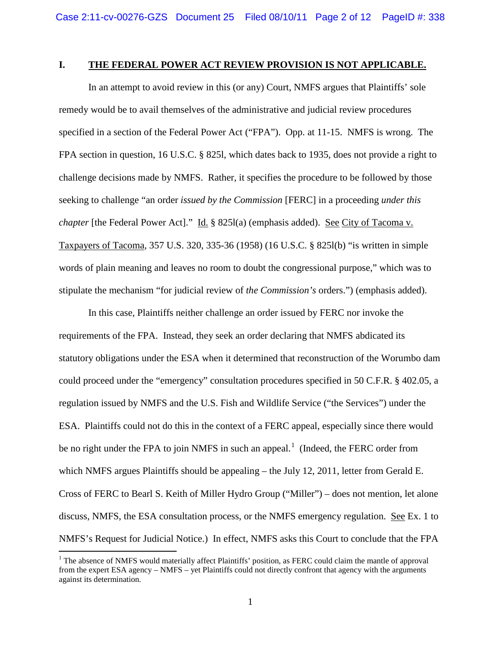#### **I. THE FEDERAL POWER ACT REVIEW PROVISION IS NOT APPLICABLE.**

In an attempt to avoid review in this (or any) Court, NMFS argues that Plaintiffs' sole remedy would be to avail themselves of the administrative and judicial review procedures specified in a section of the Federal Power Act ("FPA"). Opp. at 11-15. NMFS is wrong. The FPA section in question, 16 U.S.C. § 825l, which dates back to 1935, does not provide a right to challenge decisions made by NMFS. Rather, it specifies the procedure to be followed by those seeking to challenge "an order *issued by the Commission* [FERC] in a proceeding *under this chapter* [the Federal Power Act]." Id. § 8251(a) (emphasis added). <u>See City of Tacoma v.</u> Taxpayers of Tacoma, 357 U.S. 320, 335-36 (1958) (16 U.S.C. § 825l(b) "is written in simple words of plain meaning and leaves no room to doubt the congressional purpose," which was to stipulate the mechanism "for judicial review of *the Commission's* orders.") (emphasis added).

In this case, Plaintiffs neither challenge an order issued by FERC nor invoke the requirements of the FPA. Instead, they seek an order declaring that NMFS abdicated its statutory obligations under the ESA when it determined that reconstruction of the Worumbo dam could proceed under the "emergency" consultation procedures specified in 50 C.F.R. § 402.05, a regulation issued by NMFS and the U.S. Fish and Wildlife Service ("the Services") under the ESA. Plaintiffs could not do this in the context of a FERC appeal, especially since there would be no right under the FPA to join NMFS in such an appeal.<sup>[1](#page-1-0)</sup> (Indeed, the FERC order from which NMFS argues Plaintiffs should be appealing – the July 12, 2011, letter from Gerald E. Cross of FERC to Bearl S. Keith of Miller Hydro Group ("Miller") – does not mention, let alone discuss, NMFS, the ESA consultation process, or the NMFS emergency regulation. See Ex. 1 to NMFS's Request for Judicial Notice.) In effect, NMFS asks this Court to conclude that the FPA

<span id="page-1-0"></span><sup>&</sup>lt;sup>1</sup> The absence of NMFS would materially affect Plaintiffs' position, as FERC could claim the mantle of approval from the expert ESA agency – NMFS – yet Plaintiffs could not directly confront that agency with the arguments against its determination.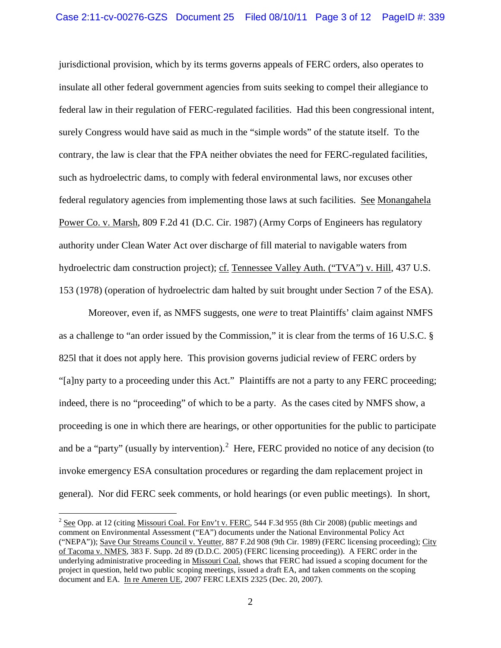jurisdictional provision, which by its terms governs appeals of FERC orders, also operates to insulate all other federal government agencies from suits seeking to compel their allegiance to federal law in their regulation of FERC-regulated facilities. Had this been congressional intent, surely Congress would have said as much in the "simple words" of the statute itself. To the contrary, the law is clear that the FPA neither obviates the need for FERC-regulated facilities, such as hydroelectric dams, to comply with federal environmental laws, nor excuses other federal regulatory agencies from implementing those laws at such facilities. See Monangahela Power Co. v. Marsh, 809 F.2d 41 (D.C. Cir. 1987) (Army Corps of Engineers has regulatory authority under Clean Water Act over discharge of fill material to navigable waters from hydroelectric dam construction project); cf. Tennessee Valley Auth. ("TVA") v. Hill, 437 U.S. 153 (1978) (operation of hydroelectric dam halted by suit brought under Section 7 of the ESA).

Moreover, even if, as NMFS suggests, one *were* to treat Plaintiffs' claim against NMFS as a challenge to "an order issued by the Commission," it is clear from the terms of 16 U.S.C. § 825l that it does not apply here. This provision governs judicial review of FERC orders by "[a]ny party to a proceeding under this Act." Plaintiffs are not a party to any FERC proceeding; indeed, there is no "proceeding" of which to be a party. As the cases cited by NMFS show, a proceeding is one in which there are hearings, or other opportunities for the public to participate and be a "party" (usually by intervention).<sup>[2](#page-2-0)</sup> Here, FERC provided no notice of any decision (to invoke emergency ESA consultation procedures or regarding the dam replacement project in general). Nor did FERC seek comments, or hold hearings (or even public meetings). In short,

<span id="page-2-0"></span><sup>&</sup>lt;sup>2</sup> See Opp. at 12 (citing Missouri Coal. For Env't v. FERC, 544 F.3d 955 (8th Cir 2008) (public meetings and comment on Environmental Assessment ("EA") documents under the National Environmental Policy Act ("NEPA")); Save Our Streams Council v. Yeutter, 887 F.2d 908 (9th Cir. 1989) (FERC licensing proceeding); City of Tacoma v. NMFS, 383 F. Supp. 2d 89 (D.D.C. 2005) (FERC licensing proceeding)). A FERC order in the underlying administrative proceeding in Missouri Coal. shows that FERC had issued a scoping document for the project in question, held two public scoping meetings, issued a draft EA, and taken comments on the scoping document and EA. In re Ameren UE, 2007 FERC LEXIS 2325 (Dec. 20, 2007).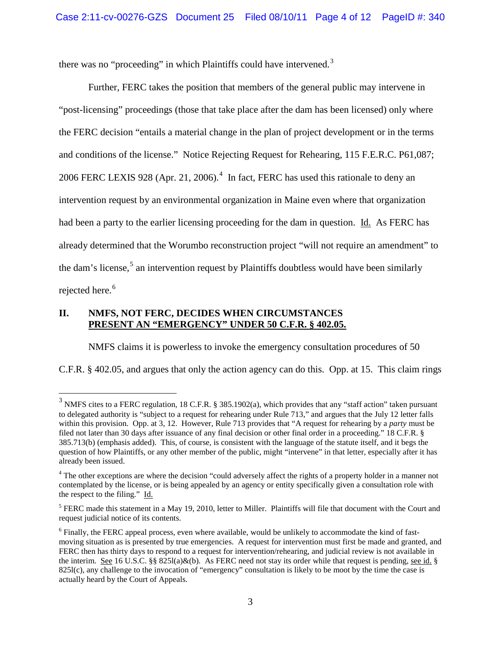there was no "proceeding" in which Plaintiffs could have intervened.<sup>[3](#page-3-0)</sup>

Further, FERC takes the position that members of the general public may intervene in "post-licensing" proceedings (those that take place after the dam has been licensed) only where the FERC decision "entails a material change in the plan of project development or in the terms and conditions of the license." Notice Rejecting Request for Rehearing, 115 F.E.R.C. P61,087; 2006 FERC LEXIS 928 (Apr. 21, 2006).<sup>[4](#page-3-1)</sup> In fact, FERC has used this rationale to deny an intervention request by an environmental organization in Maine even where that organization had been a party to the earlier licensing proceeding for the dam in question. Id. As FERC has already determined that the Worumbo reconstruction project "will not require an amendment" to the dam's license, $5$  an intervention request by Plaintiffs doubtless would have been similarly rejected here.<sup>[6](#page-3-3)</sup>

#### **II. NMFS, NOT FERC, DECIDES WHEN CIRCUMSTANCES PRESENT AN "EMERGENCY" UNDER 50 C.F.R. § 402.05.**

NMFS claims it is powerless to invoke the emergency consultation procedures of 50

C.F.R. § 402.05, and argues that only the action agency can do this. Opp. at 15. This claim rings

<span id="page-3-0"></span><sup>&</sup>lt;sup>3</sup> NMFS cites to a FERC regulation, 18 C.F.R. § 385.1902(a), which provides that any "staff action" taken pursuant to delegated authority is "subject to a request for rehearing under Rule 713," and argues that the July 12 letter falls within this provision. Opp. at 3, 12. However, Rule 713 provides that "A request for rehearing by a *party* must be filed not later than 30 days after issuance of any final decision or other final order in a proceeding." 18 C.F.R. § 385.713(b) (emphasis added). This, of course, is consistent with the language of the statute itself, and it begs the question of how Plaintiffs, or any other member of the public, might "intervene" in that letter, especially after it has already been issued.

<span id="page-3-1"></span><sup>&</sup>lt;sup>4</sup> The other exceptions are where the decision "could adversely affect the rights of a property holder in a manner not contemplated by the license, or is being appealed by an agency or entity specifically given a consultation role with the respect to the filing." Id.

<span id="page-3-2"></span> $<sup>5</sup> FERC$  made this statement in a May 19, 2010, letter to Miller. Plaintiffs will file that document with the Court and</sup> request judicial notice of its contents.

<span id="page-3-3"></span><sup>&</sup>lt;sup>6</sup> Finally, the FERC appeal process, even where available, would be unlikely to accommodate the kind of fastmoving situation as is presented by true emergencies. A request for intervention must first be made and granted, and FERC then has thirty days to respond to a request for intervention/rehearing, and judicial review is not available in the interim. See 16 U.S.C. §§ 825l(a)&(b). As FERC need not stay its order while that request is pending, see id. § 825l(c), any challenge to the invocation of "emergency" consultation is likely to be moot by the time the case is actually heard by the Court of Appeals.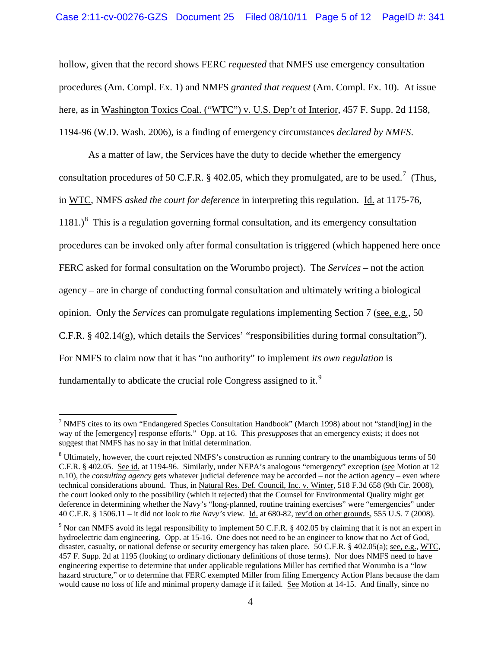hollow, given that the record shows FERC *requested* that NMFS use emergency consultation procedures (Am. Compl. Ex. 1) and NMFS *granted that request* (Am. Compl. Ex. 10). At issue here, as in Washington Toxics Coal. ("WTC") v. U.S. Dep't of Interior, 457 F. Supp. 2d 1158, 1194-96 (W.D. Wash. 2006), is a finding of emergency circumstances *declared by NMFS*.

As a matter of law, the Services have the duty to decide whether the emergency consultation procedures of 50 C.F.R. § 402.05, which they promulgated, are to be used.<sup>[7](#page-4-0)</sup> (Thus, in WTC, NMFS *asked the court for deference* in interpreting this regulation. Id. at 1175-76, 11[8](#page-4-1)1.)<sup>8</sup> This is a regulation governing formal consultation, and its emergency consultation procedures can be invoked only after formal consultation is triggered (which happened here once FERC asked for formal consultation on the Worumbo project). The *Services* – not the action agency – are in charge of conducting formal consultation and ultimately writing a biological opinion. Only the *Services* can promulgate regulations implementing Section 7 (see, e.g*.*, 50 C.F.R. § 402.14(g), which details the Services' "responsibilities during formal consultation"). For NMFS to claim now that it has "no authority" to implement *its own regulation* is fundamentally to abdicate the crucial role Congress assigned to it.<sup>[9](#page-4-2)</sup>

<span id="page-4-0"></span> <sup>7</sup> NMFS cites to its own "Endangered Species Consultation Handbook" (March 1998) about not "stand[ing] in the way of the [emergency] response efforts." Opp. at 16. This *presupposes* that an emergency exists; it does not suggest that NMFS has no say in that initial determination.

<span id="page-4-1"></span><sup>&</sup>lt;sup>8</sup> Ultimately, however, the court rejected NMFS's construction as running contrary to the unambiguous terms of 50 C.F.R. § 402.05. See id. at 1194-96. Similarly, under NEPA's analogous "emergency" exception (see Motion at 12 n.10), the *consulting agency* gets whatever judicial deference may be accorded – not the action agency – even where technical considerations abound. Thus, in Natural Res. Def. Council, Inc. v. Winter, 518 F.3d 658 (9th Cir. 2008), the court looked only to the possibility (which it rejected) that the Counsel for Environmental Quality might get deference in determining whether the Navy's "long-planned, routine training exercises" were "emergencies" under 40 C.F.R. § 1506.11 – it did not look to *the Navy's* view. Id. at 680-82, rev'd on other grounds, 555 U.S. 7 (2008).

<span id="page-4-2"></span><sup>9</sup> Nor can NMFS avoid its legal responsibility to implement 50 C.F.R. § 402.05 by claiming that it is not an expert in hydroelectric dam engineering. Opp. at 15-16. One does not need to be an engineer to know that no Act of God, disaster, casualty, or national defense or security emergency has taken place. 50 C.F.R. § 402.05(a); see, e.g., WTC, 457 F. Supp. 2d at 1195 (looking to ordinary dictionary definitions of those terms). Nor does NMFS need to have engineering expertise to determine that under applicable regulations Miller has certified that Worumbo is a "low hazard structure," or to determine that FERC exempted Miller from filing Emergency Action Plans because the dam would cause no loss of life and minimal property damage if it failed*.* See Motion at 14-15. And finally, since no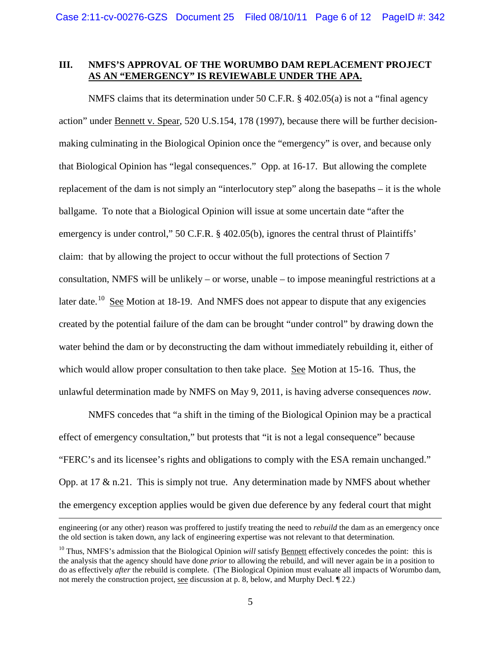#### **III. NMFS'S APPROVAL OF THE WORUMBO DAM REPLACEMENT PROJECT AS AN "EMERGENCY" IS REVIEWABLE UNDER THE APA.**

NMFS claims that its determination under 50 C.F.R. § 402.05(a) is not a "final agency action" under Bennett v. Spear, 520 U.S.154, 178 (1997), because there will be further decisionmaking culminating in the Biological Opinion once the "emergency" is over, and because only that Biological Opinion has "legal consequences." Opp. at 16-17. But allowing the complete replacement of the dam is not simply an "interlocutory step" along the basepaths – it is the whole ballgame. To note that a Biological Opinion will issue at some uncertain date "after the emergency is under control," 50 C.F.R. § 402.05(b), ignores the central thrust of Plaintiffs' claim: that by allowing the project to occur without the full protections of Section 7 consultation, NMFS will be unlikely – or worse, unable – to impose meaningful restrictions at a later date.<sup>[10](#page-5-0)</sup> See Motion at 18-19. And NMFS does not appear to dispute that any exigencies created by the potential failure of the dam can be brought "under control" by drawing down the water behind the dam or by deconstructing the dam without immediately rebuilding it, either of which would allow proper consultation to then take place. See Motion at 15-16. Thus, the unlawful determination made by NMFS on May 9, 2011, is having adverse consequences *now*.

NMFS concedes that "a shift in the timing of the Biological Opinion may be a practical effect of emergency consultation," but protests that "it is not a legal consequence" because "FERC's and its licensee's rights and obligations to comply with the ESA remain unchanged." Opp. at 17 & n.21. This is simply not true. Any determination made by NMFS about whether the emergency exception applies would be given due deference by any federal court that might

 $\overline{a}$ 

engineering (or any other) reason was proffered to justify treating the need to *rebuild* the dam as an emergency once the old section is taken down, any lack of engineering expertise was not relevant to that determination.

<span id="page-5-0"></span><sup>&</sup>lt;sup>10</sup> Thus, NMFS's admission that the Biological Opinion *will* satisfy **Bennett** effectively concedes the point: this is the analysis that the agency should have done *prior* to allowing the rebuild, and will never again be in a position to do as effectively *after* the rebuild is complete. (The Biological Opinion must evaluate all impacts of Worumbo dam, not merely the construction project, see discussion at p. 8, below, and Murphy Decl. ¶ 22.)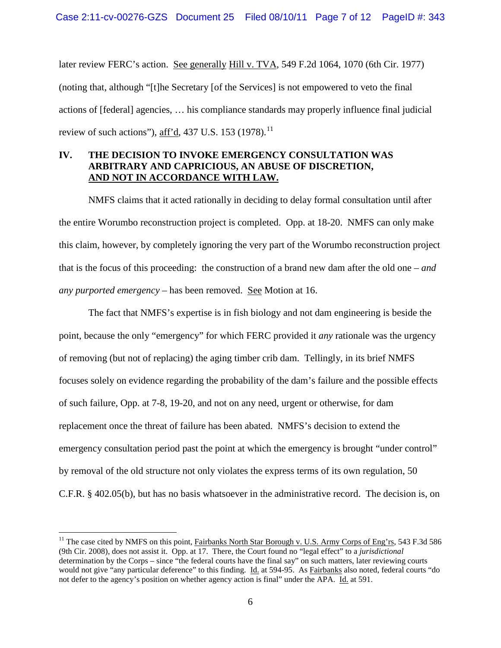later review FERC's action. See generally Hill v. TVA, 549 F.2d 1064, 1070 (6th Cir. 1977) (noting that, although "[t]he Secretary [of the Services] is not empowered to veto the final actions of [federal] agencies, … his compliance standards may properly influence final judicial review of such actions"), aff'd, 437 U.S. 153 (1978).<sup>[11](#page-6-0)</sup>

# **IV. THE DECISION TO INVOKE EMERGENCY CONSULTATION WAS ARBITRARY AND CAPRICIOUS, AN ABUSE OF DISCRETION, AND NOT IN ACCORDANCE WITH LAW.**

NMFS claims that it acted rationally in deciding to delay formal consultation until after the entire Worumbo reconstruction project is completed. Opp. at 18-20. NMFS can only make this claim, however, by completely ignoring the very part of the Worumbo reconstruction project that is the focus of this proceeding: the construction of a brand new dam after the old one – *and any purported emergency* – has been removed. See Motion at 16.

The fact that NMFS's expertise is in fish biology and not dam engineering is beside the point, because the only "emergency" for which FERC provided it *any* rationale was the urgency of removing (but not of replacing) the aging timber crib dam. Tellingly, in its brief NMFS focuses solely on evidence regarding the probability of the dam's failure and the possible effects of such failure, Opp. at 7-8, 19-20, and not on any need, urgent or otherwise, for dam replacement once the threat of failure has been abated. NMFS's decision to extend the emergency consultation period past the point at which the emergency is brought "under control" by removal of the old structure not only violates the express terms of its own regulation, 50 C.F.R. § 402.05(b), but has no basis whatsoever in the administrative record. The decision is, on

<span id="page-6-0"></span><sup>&</sup>lt;sup>11</sup> The case cited by NMFS on this point, Fairbanks North Star Borough v. U.S. Army Corps of Eng'rs, 543 F.3d 586 (9th Cir. 2008), does not assist it. Opp. at 17. There, the Court found no "legal effect" to a *jurisdictional* determination by the Corps – since "the federal courts have the final say" on such matters, later reviewing courts would not give "any particular deference" to this finding. Id. at 594-95. As Fairbanks also noted, federal courts "do not defer to the agency's position on whether agency action is final" under the APA. Id. at 591.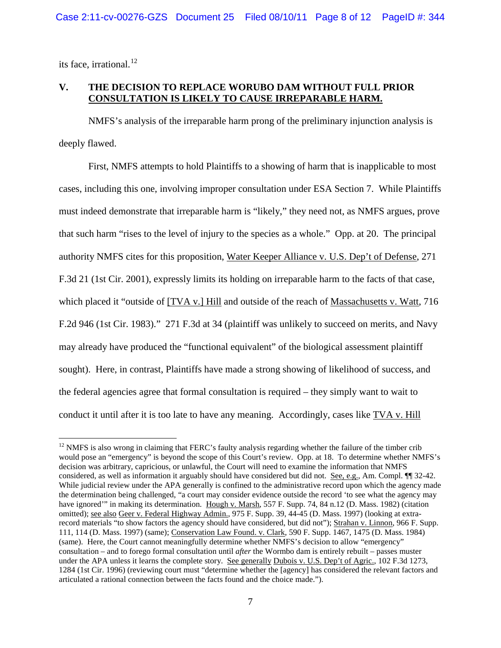its face, irrational,  $^{12}$  $^{12}$  $^{12}$ 

# **V. THE DECISION TO REPLACE WORUBO DAM WITHOUT FULL PRIOR CONSULTATION IS LIKELY TO CAUSE IRREPARABLE HARM.**

NMFS's analysis of the irreparable harm prong of the preliminary injunction analysis is deeply flawed.

First, NMFS attempts to hold Plaintiffs to a showing of harm that is inapplicable to most cases, including this one, involving improper consultation under ESA Section 7. While Plaintiffs must indeed demonstrate that irreparable harm is "likely," they need not, as NMFS argues, prove that such harm "rises to the level of injury to the species as a whole." Opp. at 20. The principal authority NMFS cites for this proposition, Water Keeper Alliance v. U.S. Dep't of Defense, 271 F.3d 21 (1st Cir. 2001), expressly limits its holding on irreparable harm to the facts of that case, which placed it "outside of [TVA v.] Hill and outside of the reach of Massachusetts v. Watt, 716 F.2d 946 (1st Cir. 1983)." 271 F.3d at 34 (plaintiff was unlikely to succeed on merits, and Navy may already have produced the "functional equivalent" of the biological assessment plaintiff sought). Here, in contrast, Plaintiffs have made a strong showing of likelihood of success, and the federal agencies agree that formal consultation is required – they simply want to wait to conduct it until after it is too late to have any meaning. Accordingly, cases like TVA v. Hill

<span id="page-7-0"></span> $12$  NMFS is also wrong in claiming that FERC's faulty analysis regarding whether the failure of the timber crib would pose an "emergency" is beyond the scope of this Court's review. Opp. at 18. To determine whether NMFS's decision was arbitrary, capricious, or unlawful, the Court will need to examine the information that NMFS considered, as well as information it arguably should have considered but did not. See, e.g., Am. Compl. ¶¶ 32-42. While judicial review under the APA generally is confined to the administrative record upon which the agency made the determination being challenged, "a court may consider evidence outside the record 'to see what the agency may have ignored'" in making its determination. Hough v. Marsh, 557 F. Supp. 74, 84 n.12 (D. Mass. 1982) (citation omitted); see also Geer v. Federal Highway Admin., 975 F. Supp. 39, 44-45 (D. Mass. 1997) (looking at extrarecord materials "to show factors the agency should have considered, but did not"); Strahan v. Linnon, 966 F. Supp. 111, 114 (D. Mass. 1997) (same); Conservation Law Found. v. Clark, 590 F. Supp. 1467, 1475 (D. Mass. 1984) (same). Here, the Court cannot meaningfully determine whether NMFS's decision to allow "emergency" consultation – and to forego formal consultation until *after* the Wormbo dam is entirely rebuilt – passes muster under the APA unless it learns the complete story. See generally Dubois v. U.S. Dep't of Agric., 102 F.3d 1273, 1284 (1st Cir. 1996) (reviewing court must "determine whether the [agency] has considered the relevant factors and articulated a rational connection between the facts found and the choice made.").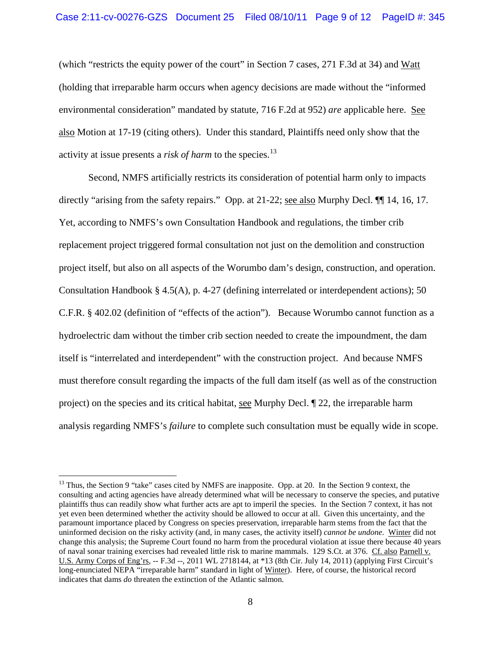(which "restricts the equity power of the court" in Section 7 cases, 271 F.3d at 34) and Watt (holding that irreparable harm occurs when agency decisions are made without the "informed environmental consideration" mandated by statute, 716 F.2d at 952) *are* applicable here. See also Motion at 17-19 (citing others). Under this standard, Plaintiffs need only show that the activity at issue presents a *risk of harm* to the species.<sup>[13](#page-8-0)</sup>

Second, NMFS artificially restricts its consideration of potential harm only to impacts directly "arising from the safety repairs." Opp. at 21-22; see also Murphy Decl.  $\P$  14, 16, 17. Yet, according to NMFS's own Consultation Handbook and regulations, the timber crib replacement project triggered formal consultation not just on the demolition and construction project itself, but also on all aspects of the Worumbo dam's design, construction, and operation. Consultation Handbook § 4.5(A), p. 4-27 (defining interrelated or interdependent actions); 50 C.F.R. § 402.02 (definition of "effects of the action"). Because Worumbo cannot function as a hydroelectric dam without the timber crib section needed to create the impoundment, the dam itself is "interrelated and interdependent" with the construction project. And because NMFS must therefore consult regarding the impacts of the full dam itself (as well as of the construction project) on the species and its critical habitat, see Murphy Decl. ¶ 22, the irreparable harm analysis regarding NMFS's *failure* to complete such consultation must be equally wide in scope.

<span id="page-8-0"></span><sup>&</sup>lt;sup>13</sup> Thus, the Section 9 "take" cases cited by NMFS are inapposite. Opp. at 20. In the Section 9 context, the consulting and acting agencies have already determined what will be necessary to conserve the species, and putative plaintiffs thus can readily show what further acts are apt to imperil the species. In the Section 7 context, it has not yet even been determined whether the activity should be allowed to occur at all. Given this uncertainty, and the paramount importance placed by Congress on species preservation, irreparable harm stems from the fact that the uninformed decision on the risky activity (and, in many cases, the activity itself) *cannot be undone*. Winter did not change this analysis; the Supreme Court found no harm from the procedural violation at issue there because 40 years of naval sonar training exercises had revealed little risk to marine mammals. 129 S.Ct. at 376. Cf. also Parnell v. U.S. Army Corps of Eng'rs, -- F.3d --, 2011 WL 2718144, at \*13 (8th Cir. July 14, 2011) (applying First Circuit's long-enunciated NEPA "irreparable harm" standard in light of Winter). Here, of course, the historical record indicates that dams *do* threaten the extinction of the Atlantic salmon.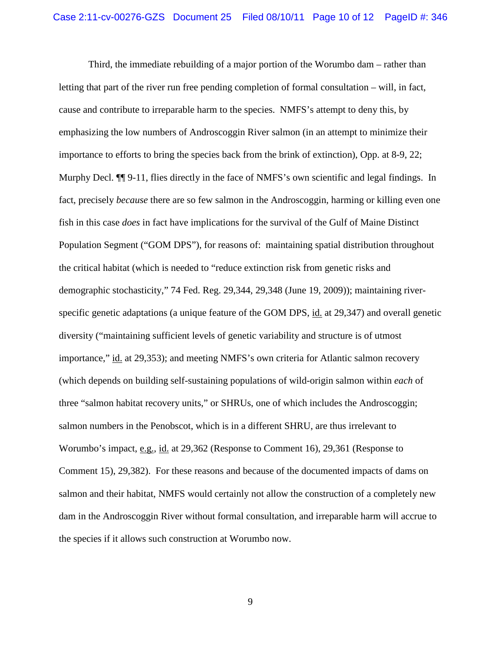Third, the immediate rebuilding of a major portion of the Worumbo dam – rather than letting that part of the river run free pending completion of formal consultation – will, in fact, cause and contribute to irreparable harm to the species. NMFS's attempt to deny this, by emphasizing the low numbers of Androscoggin River salmon (in an attempt to minimize their importance to efforts to bring the species back from the brink of extinction), Opp. at 8-9, 22; Murphy Decl. ¶¶ 9-11, flies directly in the face of NMFS's own scientific and legal findings. In fact, precisely *because* there are so few salmon in the Androscoggin, harming or killing even one fish in this case *does* in fact have implications for the survival of the Gulf of Maine Distinct Population Segment ("GOM DPS"), for reasons of: maintaining spatial distribution throughout the critical habitat (which is needed to "reduce extinction risk from genetic risks and demographic stochasticity," 74 Fed. Reg. 29,344, 29,348 (June 19, 2009)); maintaining riverspecific genetic adaptations (a unique feature of the GOM DPS, id. at 29,347) and overall genetic diversity ("maintaining sufficient levels of genetic variability and structure is of utmost importance," id. at 29,353); and meeting NMFS's own criteria for Atlantic salmon recovery (which depends on building self-sustaining populations of wild-origin salmon within *each* of three "salmon habitat recovery units," or SHRUs, one of which includes the Androscoggin; salmon numbers in the Penobscot, which is in a different SHRU, are thus irrelevant to Worumbo's impact, e.g., id. at 29,362 (Response to Comment 16), 29,361 (Response to Comment 15), 29,382). For these reasons and because of the documented impacts of dams on salmon and their habitat, NMFS would certainly not allow the construction of a completely new dam in the Androscoggin River without formal consultation, and irreparable harm will accrue to the species if it allows such construction at Worumbo now.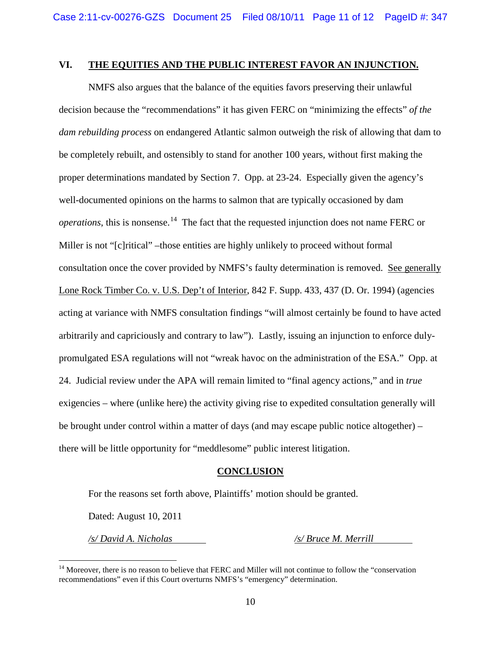### **VI. THE EQUITIES AND THE PUBLIC INTEREST FAVOR AN INJUNCTION.**

NMFS also argues that the balance of the equities favors preserving their unlawful decision because the "recommendations" it has given FERC on "minimizing the effects" *of the dam rebuilding process* on endangered Atlantic salmon outweigh the risk of allowing that dam to be completely rebuilt, and ostensibly to stand for another 100 years, without first making the proper determinations mandated by Section 7. Opp. at 23-24. Especially given the agency's well-documented opinions on the harms to salmon that are typically occasioned by dam *operations*, this is nonsense. [14](#page-10-0) The fact that the requested injunction does not name FERC or Miller is not "[c]ritical" –those entities are highly unlikely to proceed without formal consultation once the cover provided by NMFS's faulty determination is removed. See generally Lone Rock Timber Co. v. U.S. Dep't of Interior, 842 F. Supp. 433, 437 (D. Or. 1994) (agencies acting at variance with NMFS consultation findings "will almost certainly be found to have acted arbitrarily and capriciously and contrary to law"). Lastly, issuing an injunction to enforce dulypromulgated ESA regulations will not "wreak havoc on the administration of the ESA." Opp. at 24. Judicial review under the APA will remain limited to "final agency actions," and in *true* exigencies – where (unlike here) the activity giving rise to expedited consultation generally will be brought under control within a matter of days (and may escape public notice altogether) – there will be little opportunity for "meddlesome" public interest litigation.

#### **CONCLUSION**

For the reasons set forth above, Plaintiffs' motion should be granted.

Dated: August 10, 2011

*/s/ David A. Nicholas /s/ Bruce M. Merrill*

<span id="page-10-0"></span><sup>&</sup>lt;sup>14</sup> Moreover, there is no reason to believe that FERC and Miller will not continue to follow the "conservation" recommendations" even if this Court overturns NMFS's "emergency" determination.